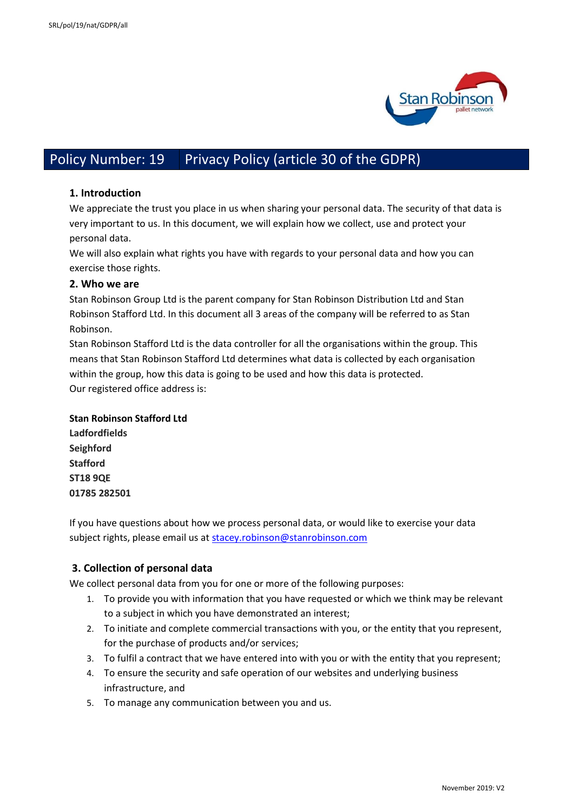

# Policy Number: 19 Privacy Policy (article 30 of the GDPR)

#### **1. Introduction**

We appreciate the trust you place in us when sharing your personal data. The security of that data is very important to us. In this document, we will explain how we collect, use and protect your personal data.

We will also explain what rights you have with regards to your personal data and how you can exercise those rights.

#### **2. Who we are**

Stan Robinson Group Ltd is the parent company for Stan Robinson Distribution Ltd and Stan Robinson Stafford Ltd. In this document all 3 areas of the company will be referred to as Stan Robinson.

Stan Robinson Stafford Ltd is the data controller for all the organisations within the group. This means that Stan Robinson Stafford Ltd determines what data is collected by each organisation within the group, how this data is going to be used and how this data is protected. Our registered office address is:

#### **Stan Robinson Stafford Ltd**

**Ladfordfields Seighford Stafford ST18 9QE 01785 282501**

If you have questions about how we process personal data, or would like to exercise your data subject rights, please email us a[t stacey.robinson@stanrobinson.com](mailto:stacey.robinson@stanrobinson.com)

# **3. Collection of personal data**

We collect personal data from you for one or more of the following purposes:

- 1. To provide you with information that you have requested or which we think may be relevant to a subject in which you have demonstrated an interest;
- 2. To initiate and complete commercial transactions with you, or the entity that you represent, for the purchase of products and/or services;
- 3. To fulfil a contract that we have entered into with you or with the entity that you represent;
- 4. To ensure the security and safe operation of our websites and underlying business infrastructure, and
- 5. To manage any communication between you and us.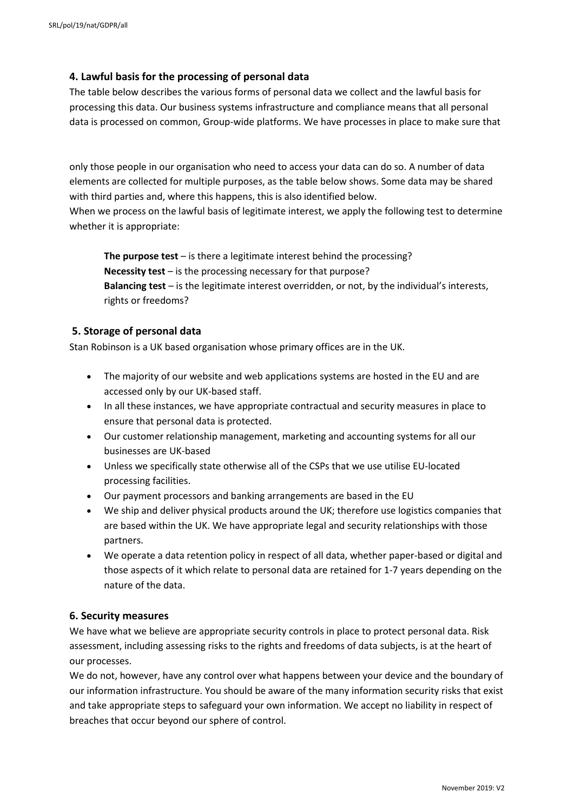# **4. Lawful basis for the processing of personal data**

The table below describes the various forms of personal data we collect and the lawful basis for processing this data. Our business systems infrastructure and compliance means that all personal data is processed on common, Group-wide platforms. We have processes in place to make sure that

only those people in our organisation who need to access your data can do so. A number of data elements are collected for multiple purposes, as the table below shows. Some data may be shared with third parties and, where this happens, this is also identified below.

When we process on the lawful basis of legitimate interest, we apply the following test to determine whether it is appropriate:

**The purpose test** – is there a legitimate interest behind the processing? **Necessity test** – is the processing necessary for that purpose? **Balancing test** – is the legitimate interest overridden, or not, by the individual's interests, rights or freedoms?

#### **5. Storage of personal data**

Stan Robinson is a UK based organisation whose primary offices are in the UK.

- The majority of our website and web applications systems are hosted in the EU and are accessed only by our UK-based staff.
- In all these instances, we have appropriate contractual and security measures in place to ensure that personal data is protected.
- Our customer relationship management, marketing and accounting systems for all our businesses are UK-based
- Unless we specifically state otherwise all of the CSPs that we use utilise EU-located processing facilities.
- Our payment processors and banking arrangements are based in the EU
- We ship and deliver physical products around the UK; therefore use logistics companies that are based within the UK. We have appropriate legal and security relationships with those partners.
- We operate a data retention policy in respect of all data, whether paper-based or digital and those aspects of it which relate to personal data are retained for 1-7 years depending on the nature of the data.

#### **6. Security measures**

We have what we believe are appropriate security controls in place to protect personal data. Risk assessment, including assessing risks to the rights and freedoms of data subjects, is at the heart of our processes.

We do not, however, have any control over what happens between your device and the boundary of our information infrastructure. You should be aware of the many information security risks that exist and take appropriate steps to safeguard your own information. We accept no liability in respect of breaches that occur beyond our sphere of control.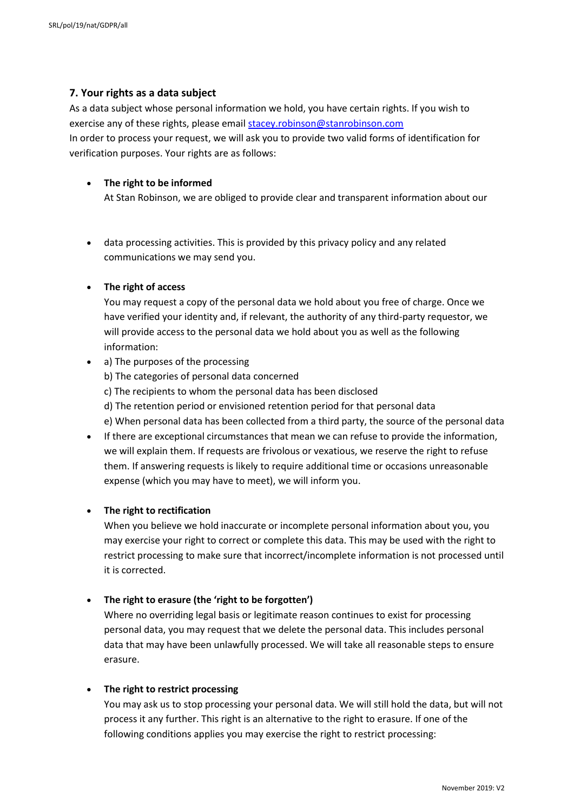# **7. Your rights as a data subject**

As a data subject whose personal information we hold, you have certain rights. If you wish to exercise any of these rights, please email [stacey.robinson@stanrobinson.com](mailto:stacey.robinson@stanrobinson.com) In order to process your request, we will ask you to provide two valid forms of identification for verification purposes. Your rights are as follows:

# **The right to be informed**

At Stan Robinson, we are obliged to provide clear and transparent information about our

 data processing activities. This is provided by this privacy policy and any related communications we may send you.

# **The right of access**

You may request a copy of the personal data we hold about you free of charge. Once we have verified your identity and, if relevant, the authority of any third-party requestor, we will provide access to the personal data we hold about you as well as the following information:

- a) The purposes of the processing b) The categories of personal data concerned c) The recipients to whom the personal data has been disclosed d) The retention period or envisioned retention period for that personal data e) When personal data has been collected from a third party, the source of the personal data
- If there are exceptional circumstances that mean we can refuse to provide the information, we will explain them. If requests are frivolous or vexatious, we reserve the right to refuse them. If answering requests is likely to require additional time or occasions unreasonable expense (which you may have to meet), we will inform you.

# **The right to rectification**

When you believe we hold inaccurate or incomplete personal information about you, you may exercise your right to correct or complete this data. This may be used with the right to restrict processing to make sure that incorrect/incomplete information is not processed until it is corrected.

# **The right to erasure (the 'right to be forgotten')**

Where no overriding legal basis or legitimate reason continues to exist for processing personal data, you may request that we delete the personal data. This includes personal data that may have been unlawfully processed. We will take all reasonable steps to ensure erasure.

# **The right to restrict processing**

You may ask us to stop processing your personal data. We will still hold the data, but will not process it any further. This right is an alternative to the right to erasure. If one of the following conditions applies you may exercise the right to restrict processing: